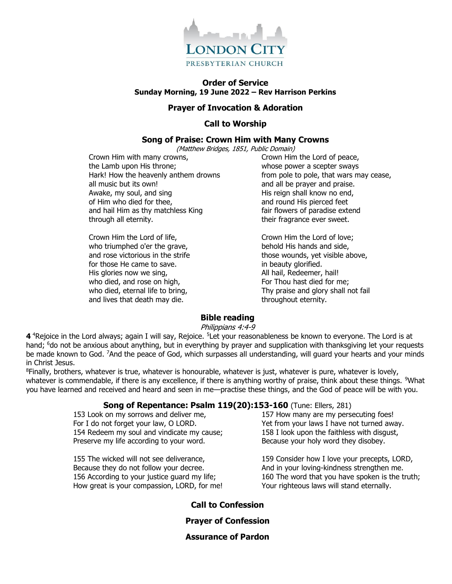

### **Order of Service Sunday Morning, 19 June 2022 – Rev Harrison Perkins**

#### **Prayer of Invocation & Adoration**

### **Call to Worship**

### **Song of Praise: Crown Him with Many Crowns**

(Matthew Bridges, 1851, Public Domain)

Crown Him with many crowns, the Lamb upon His throne; Hark! How the heavenly anthem drowns all music but its own! Awake, my soul, and sing of Him who died for thee, and hail Him as thy matchless King through all eternity.

Crown Him the Lord of life, who triumphed o'er the grave, and rose victorious in the strife for those He came to save. His glories now we sing, who died, and rose on high, who died, eternal life to bring, and lives that death may die.

Crown Him the Lord of peace, whose power a scepter sways from pole to pole, that wars may cease, and all be prayer and praise. His reign shall know no end, and round His pierced feet fair flowers of paradise extend their fragrance ever sweet.

Crown Him the Lord of love; behold His hands and side, those wounds, yet visible above, in beauty glorified. All hail, Redeemer, hail! For Thou hast died for me; Thy praise and glory shall not fail throughout eternity.

### **Bible reading**

#### Philippians 4:4-9

**4** <sup>4</sup>Rejoice in the Lord always; again I will say, Rejoice. <sup>5</sup>Let your reasonableness be known to everyone. The Lord is at hand; <sup>6</sup>do not be anxious about anything, but in everything by prayer and supplication with thanksgiving let your requests be made known to God. <sup>7</sup>And the peace of God, which surpasses all understanding, will guard your hearts and your minds in Christ Jesus.

<sup>8</sup>Finally, brothers, whatever is true, whatever is honourable, whatever is just, whatever is pure, whatever is lovely, whatever is commendable, if there is any excellence, if there is anything worthy of praise, think about these things. <sup>9</sup>What you have learned and received and heard and seen in me—practise these things, and the God of peace will be with you.

#### **Song of Repentance: Psalm 119(20):153-160** (Tune: Ellers, 281)

153 Look on my sorrows and deliver me, For I do not forget your law, O LORD. 154 Redeem my soul and vindicate my cause; Preserve my life according to your word.

155 The wicked will not see deliverance, Because they do not follow your decree. 156 According to your justice guard my life; How great is your compassion, LORD, for me!

157 How many are my persecuting foes! Yet from your laws I have not turned away. 158 I look upon the faithless with disgust, Because your holy word they disobey.

159 Consider how I love your precepts, LORD, And in your loving-kindness strengthen me. 160 The word that you have spoken is the truth; Your righteous laws will stand eternally.

### **Call to Confession**

**Prayer of Confession**

**Assurance of Pardon**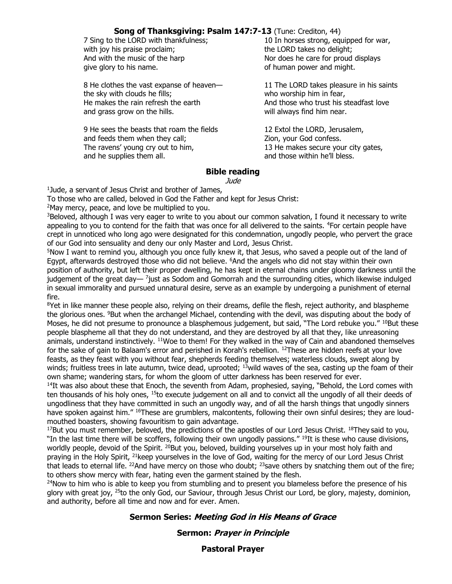## **Song of Thanksgiving: Psalm 147:7-13** (Tune: Crediton, 44)

| 7 Sing to the LORD with thankfulness;     | 10 In horses strong, equipped for war,   |
|-------------------------------------------|------------------------------------------|
| with joy his praise proclaim;             | the LORD takes no delight;               |
| And with the music of the harp            | Nor does he care for proud displays      |
| give glory to his name.                   | of human power and might.                |
| 8 He clothes the vast expanse of heaven-  | 11 The LORD takes pleasure in his saints |
| the sky with clouds he fills;             | who worship him in fear,                 |
| He makes the rain refresh the earth       | And those who trust his steadfast love   |
| and grass grow on the hills.              | will always find him near.               |
| 9 He sees the beasts that roam the fields | 12 Extol the LORD, Jerusalem,            |
| and feeds them when they call;            | Zion, your God confess.                  |
| The ravens' young cry out to him,         | 13 He makes secure your city gates,      |
| and he supplies them all.                 | and those within he'll bless.            |

### **Bible reading**

Jude

1 Jude, a servant of Jesus Christ and brother of James,

To those who are called, beloved in God the Father and kept for Jesus Christ:

<sup>2</sup>May mercy, peace, and love be multiplied to you.

<sup>3</sup>Beloved, although I was very eager to write to you about our common salvation, I found it necessary to write appealing to you to contend for the faith that was once for all delivered to the saints. <sup>4</sup>For certain people have crept in unnoticed who long ago were designated for this condemnation, ungodly people, who pervert the grace of our God into sensuality and deny our only Master and Lord, Jesus Christ.

<sup>5</sup>Now I want to remind you, although you once fully knew it, that Jesus, who saved a people out of the land of Egypt, afterwards destroyed those who did not believe. <sup>6</sup>And the angels who did not stay within their own position of authority, but left their proper dwelling, he has kept in eternal chains under gloomy darkness until the judgement of the great day— <sup>7</sup>just as Sodom and Gomorrah and the surrounding cities, which likewise indulged in sexual immorality and pursued unnatural desire, serve as an example by undergoing a punishment of eternal fire.

<sup>8</sup>Yet in like manner these people also, relying on their dreams, defile the flesh, reject authority, and blaspheme the glorious ones. <sup>9</sup>But when the archangel Michael, contending with the devil, was disputing about the body of Moses, he did not presume to pronounce a blasphemous judgement, but said, "The Lord rebuke you." <sup>10</sup>But these people blaspheme all that they do not understand, and they are destroyed by all that they, like unreasoning animals, understand instinctively. <sup>11</sup>Woe to them! For they walked in the way of Cain and abandoned themselves for the sake of gain to Balaam's error and perished in Korah's rebellion. <sup>12</sup>These are hidden reefs at your love feasts, as they feast with you without fear, shepherds feeding themselves; waterless clouds, swept along by winds; fruitless trees in late autumn, twice dead, uprooted;  $13$ wild waves of the sea, casting up the foam of their own shame; wandering stars, for whom the gloom of utter darkness has been reserved for ever.

<sup>14</sup>It was also about these that Enoch, the seventh from Adam, prophesied, saying, "Behold, the Lord comes with ten thousands of his holy ones, <sup>15</sup>to execute judgement on all and to convict all the ungodly of all their deeds of ungodliness that they have committed in such an ungodly way, and of all the harsh things that ungodly sinners have spoken against him." <sup>16</sup>These are grumblers, malcontents, following their own sinful desires; they are loudmouthed boasters, showing favouritism to gain advantage.

 $17$ But you must remember, beloved, the predictions of the apostles of our Lord Jesus Christ.  $18$ They said to you, "In the last time there will be scoffers, following their own ungodly passions." <sup>19</sup>It is these who cause divisions, worldly people, devoid of the Spirit. <sup>20</sup>But you, beloved, building yourselves up in your most holy faith and praying in the Holy Spirit, <sup>21</sup>keep yourselves in the love of God, waiting for the mercy of our Lord Jesus Christ that leads to eternal life. <sup>22</sup>And have mercy on those who doubt;  $^{23}$ save others by snatching them out of the fire; to others show mercy with fear, hating even the garment stained by the flesh.

<sup>24</sup>Now to him who is able to keep you from stumbling and to present you blameless before the presence of his glory with great joy, <sup>25</sup>to the only God, our Saviour, through Jesus Christ our Lord, be glory, majesty, dominion, and authority, before all time and now and for ever. Amen.

### **Sermon Series: Meeting God in His Means of Grace**

**Sermon: Prayer in Principle**

**Pastoral Prayer**